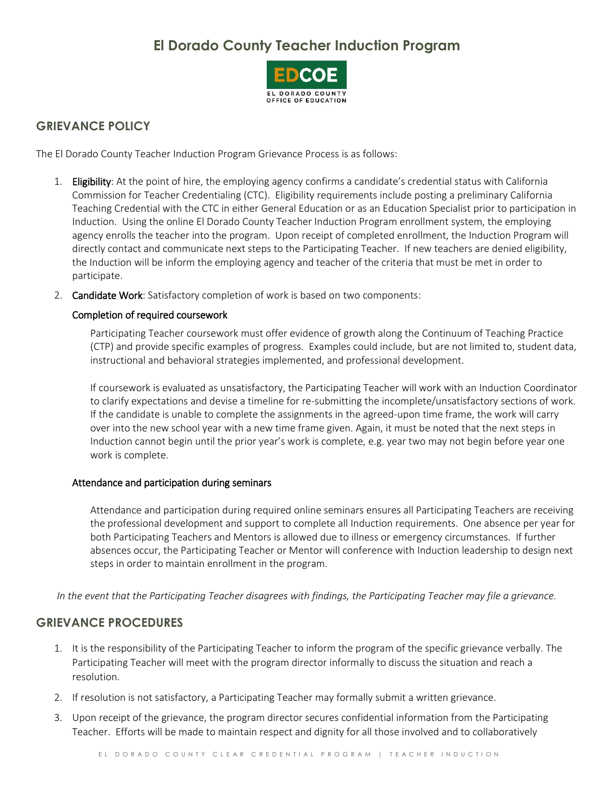# **El Dorado County Teacher Induction Program**



## **GRIEVANCE POLICY**

The El Dorado County Teacher Induction Program Grievance Process is as follows:

- 1. Eligibility: At the point of hire, the employing agency confirms a candidate's credential status with California Commission for Teacher Credentialing (CTC). Eligibility requirements include posting a preliminary California Teaching Credential with the CTC in either General Education or as an Education Specialist prior to participation in Induction. Using the online El Dorado County Teacher Induction Program enrollment system, the employing agency enrolls the teacher into the program. Upon receipt of completed enrollment, the Induction Program will directly contact and communicate next steps to the Participating Teacher. If new teachers are denied eligibility, the Induction will be inform the employing agency and teacher of the criteria that must be met in order to participate.
- 2. Candidate Work: Satisfactory completion of work is based on two components:

#### Completion of required coursework

Participating Teacher coursework must offer evidence of growth along the Continuum of Teaching Practice (CTP) and provide specific examples of progress. Examples could include, but are not limited to, student data, instructional and behavioral strategies implemented, and professional development.

If coursework is evaluated as unsatisfactory, the Participating Teacher will work with an Induction Coordinator to clarify expectations and devise a timeline for re-submitting the incomplete/unsatisfactory sections of work. If the candidate is unable to complete the assignments in the agreed-upon time frame, the work will carry over into the new school year with a new time frame given. Again, it must be noted that the next steps in Induction cannot begin until the prior year's work is complete, e.g. year two may not begin before year one work is complete.

#### Attendance and participation during seminars

Attendance and participation during required online seminars ensures all Participating Teachers are receiving the professional development and support to complete all Induction requirements. One absence per year for both Participating Teachers and Mentors is allowed due to illness or emergency circumstances. If further absences occur, the Participating Teacher or Mentor will conference with Induction leadership to design next steps in order to maintain enrollment in the program.

*In the event that the Participating Teacher disagrees with findings, the Participating Teacher may file a grievance.*

### **GRIEVANCE PROCEDURES**

- 1. It is the responsibility of the Participating Teacher to inform the program of the specific grievance verbally. The Participating Teacher will meet with the program director informally to discuss the situation and reach a resolution.
- 2. If resolution is not satisfactory, a Participating Teacher may formally submit a written grievance.
- 3. Upon receipt of the grievance, the program director secures confidential information from the Participating Teacher. Efforts will be made to maintain respect and dignity for all those involved and to collaboratively